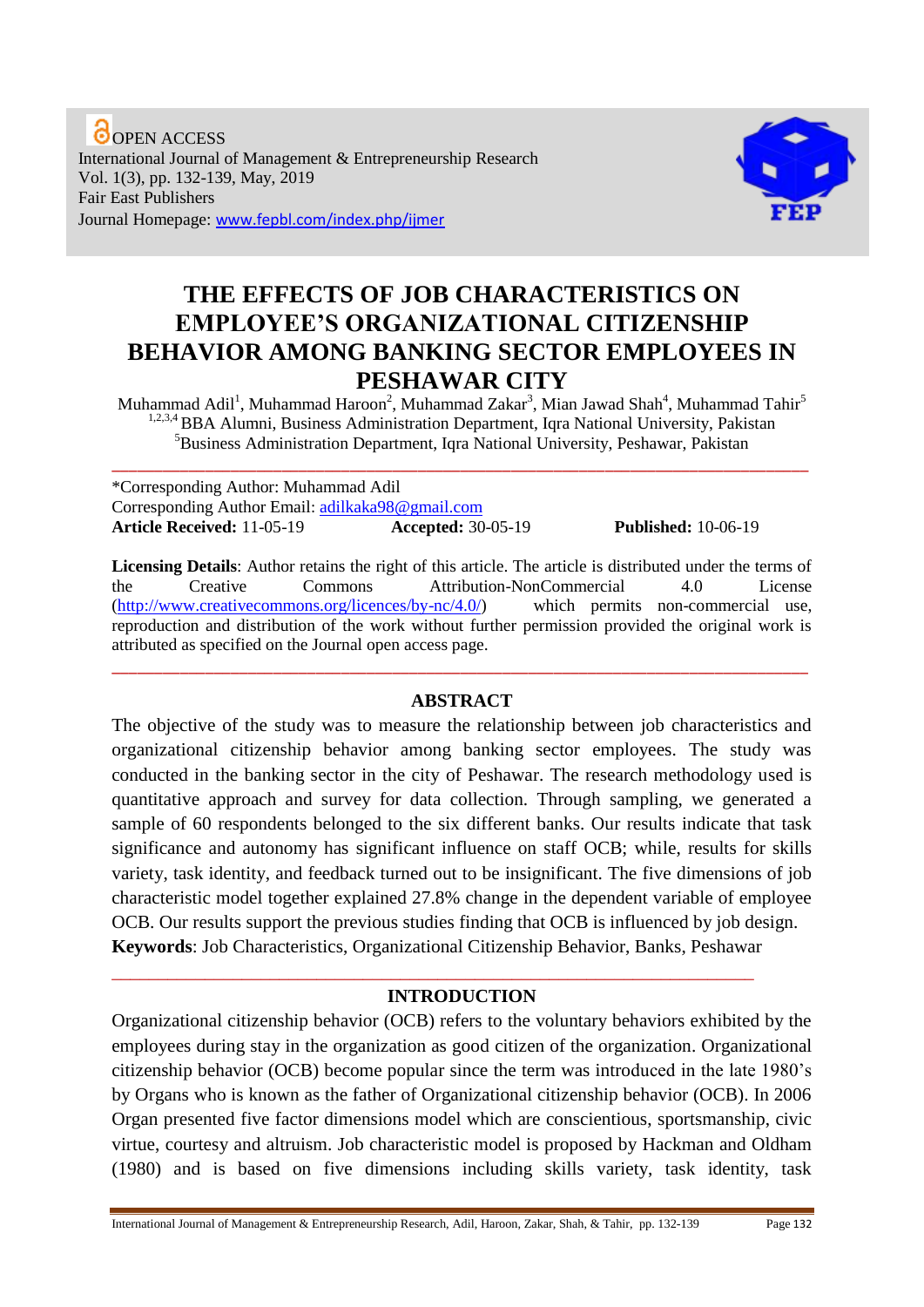**O**OPEN ACCESS International Journal of Management & Entrepreneurship Research Vol. 1(3), pp. 132-139, May, 2019 Fair East Publishers Journal Homepage: www.fepbl.com/index.php/ijmer



# **THE EFFECTS OF JOB CHARACTERISTICS ON EMPLOYEE'S ORGANIZATIONAL CITIZENSHIP BEHAVIOR AMONG BANKING SECTOR EMPLOYEES IN PESHAWAR CITY**

Muhammad Adil<sup>1</sup>, Muhammad Haroon<sup>2</sup>, Muhammad Zakar<sup>3</sup>, Mian Jawad Shah<sup>4</sup>, Muhammad Tahir<sup>5</sup> <sup>1,2,3,4</sup> BBA Alumni, Business Administration Department, Iqra National University, Pakistan <sup>5</sup>Business Administration Department, Iqra National University, Peshawar, Pakistan

\_\_\_\_\_\_\_\_\_\_\_\_\_\_\_\_\_\_\_\_\_\_\_\_\_\_\_\_\_\_\_\_\_\_\_\_\_\_\_\_\_\_\_\_\_\_\_\_\_\_\_\_\_\_\_\_\_\_\_\_\_\_\_\_\_\_\_\_\_\_\_\_\_\_\_\_\_\_\_\_\_\_

\*Corresponding Author: Muhammad Adil Corresponding Author Email: [adilkaka98@gmail.com](mailto:adilkaka98@gmail.com) **Article Received:** 11-05-19 **Accepted:** 30-05-19 **Published:** 10-06-19

**Licensing Details**: Author retains the right of this article. The article is distributed under the terms of the Creative Commons Attribution-NonCommercial 4.0 License<br>(http://www.creativecommons.org/licences/by-nc/4.0/) which permits non-commercial use.  $(<http://www.creativecommons.org/licences/bv-nc/4.0/>)$ reproduction and distribution of the work without further permission provided the original work is attributed as specified on the Journal open access page.

## **ABSTRACT**

\_\_\_\_\_\_\_\_\_\_\_\_\_\_\_\_\_\_\_\_\_\_\_\_\_\_\_\_\_\_\_\_\_\_\_\_\_\_\_\_\_\_\_\_\_\_\_\_\_\_\_\_\_\_\_\_\_\_\_\_\_\_\_\_\_\_\_\_\_\_\_\_\_\_\_\_\_\_\_\_\_\_

The objective of the study was to measure the relationship between job characteristics and organizational citizenship behavior among banking sector employees. The study was conducted in the banking sector in the city of Peshawar. The research methodology used is quantitative approach and survey for data collection. Through sampling, we generated a sample of 60 respondents belonged to the six different banks. Our results indicate that task significance and autonomy has significant influence on staff OCB; while, results for skills variety, task identity, and feedback turned out to be insignificant. The five dimensions of job characteristic model together explained 27.8% change in the dependent variable of employee OCB. Our results support the previous studies finding that OCB is influenced by job design. **Keywords**: Job Characteristics, Organizational Citizenship Behavior, Banks, Peshawar

## **INTRODUCTION**

\_\_\_\_\_\_\_\_\_\_\_\_\_\_\_\_\_\_\_\_\_\_\_\_\_\_\_\_\_\_\_\_\_\_\_\_\_\_\_\_\_\_\_\_\_\_\_\_\_\_\_\_\_\_\_\_\_\_\_\_\_\_\_\_\_\_\_\_\_

Organizational citizenship behavior (OCB) refers to the voluntary behaviors exhibited by the employees during stay in the organization as good citizen of the organization. Organizational citizenship behavior (OCB) become popular since the term was introduced in the late 1980's by Organs who is known as the father of Organizational citizenship behavior (OCB). In 2006 Organ presented five factor dimensions model which are conscientious, sportsmanship, civic virtue, courtesy and altruism. Job characteristic model is proposed by Hackman and Oldham (1980) and is based on five dimensions including skills variety, task identity, task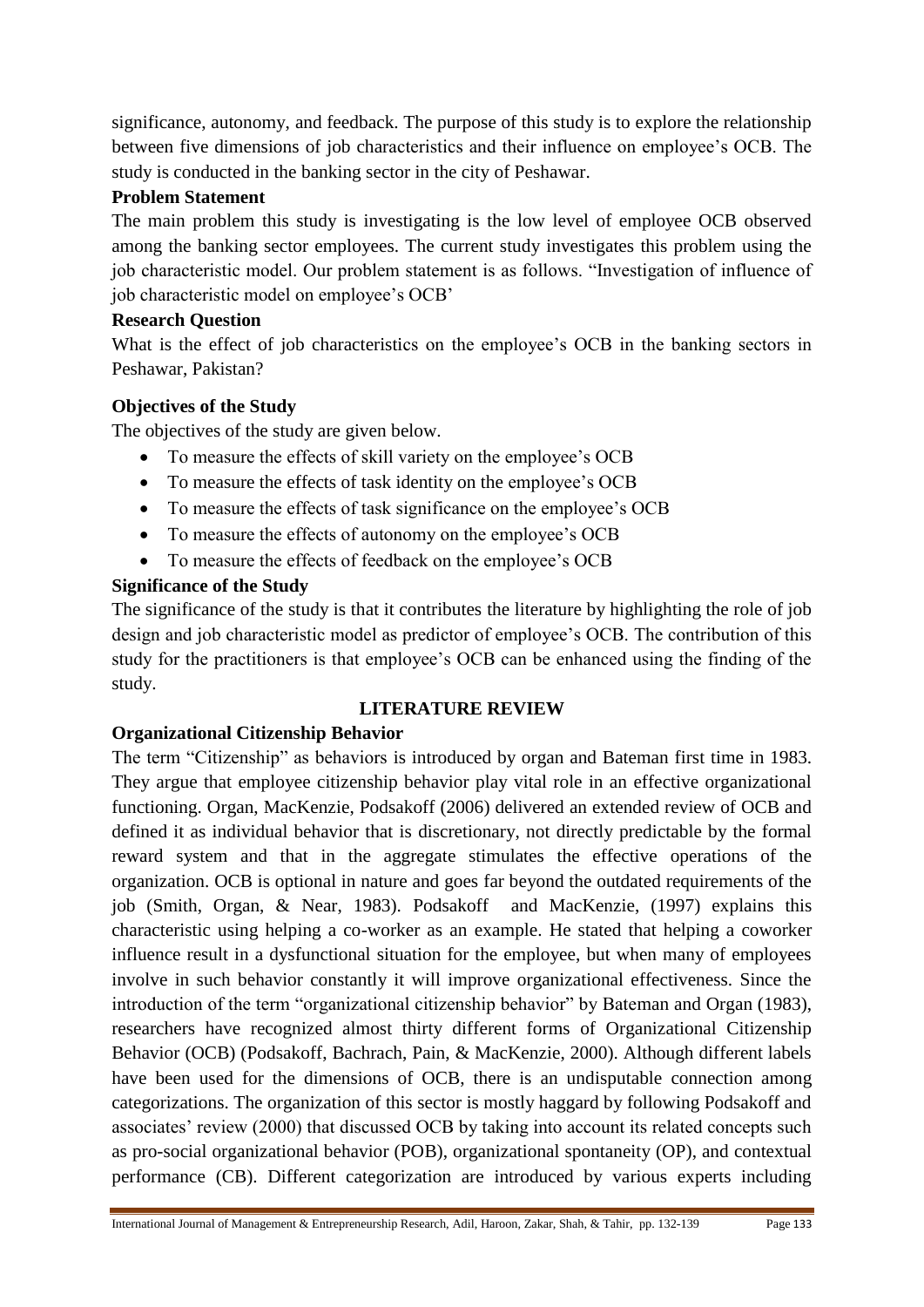significance, autonomy, and feedback. The purpose of this study is to explore the relationship between five dimensions of job characteristics and their influence on employee's OCB. The study is conducted in the banking sector in the city of Peshawar.

## **Problem Statement**

The main problem this study is investigating is the low level of employee OCB observed among the banking sector employees. The current study investigates this problem using the job characteristic model. Our problem statement is as follows. "Investigation of influence of job characteristic model on employee's OCB'

## **Research Question**

What is the effect of job characteristics on the employee's OCB in the banking sectors in Peshawar, Pakistan?

## **Objectives of the Study**

The objectives of the study are given below.

- To measure the effects of skill variety on the employee's OCB
- To measure the effects of task identity on the employee's OCB
- To measure the effects of task significance on the employee's OCB
- To measure the effects of autonomy on the employee's OCB
- To measure the effects of feedback on the employee's OCB

## **Significance of the Study**

The significance of the study is that it contributes the literature by highlighting the role of job design and job characteristic model as predictor of employee's OCB. The contribution of this study for the practitioners is that employee's OCB can be enhanced using the finding of the study.

## **LITERATURE REVIEW**

## **Organizational Citizenship Behavior**

The term "Citizenship" as behaviors is introduced by organ and Bateman first time in 1983. They argue that employee citizenship behavior play vital role in an effective organizational functioning. Organ, MacKenzie, Podsakoff (2006) delivered an extended review of OCB and defined it as individual behavior that is discretionary, not directly predictable by the formal reward system and that in the aggregate stimulates the effective operations of the organization. OCB is optional in nature and goes far beyond the outdated requirements of the job (Smith, Organ, & Near, 1983). Podsakoff and MacKenzie, (1997) explains this characteristic using helping a co-worker as an example. He stated that helping a coworker influence result in a dysfunctional situation for the employee, but when many of employees involve in such behavior constantly it will improve organizational effectiveness. Since the introduction of the term "organizational citizenship behavior" by Bateman and Organ (1983), researchers have recognized almost thirty different forms of Organizational Citizenship Behavior (OCB) (Podsakoff, Bachrach, Pain, & MacKenzie, 2000). Although different labels have been used for the dimensions of OCB, there is an undisputable connection among categorizations. The organization of this sector is mostly haggard by following Podsakoff and associates' review (2000) that discussed OCB by taking into account its related concepts such as pro-social organizational behavior (POB), organizational spontaneity (OP), and contextual performance (CB). Different categorization are introduced by various experts including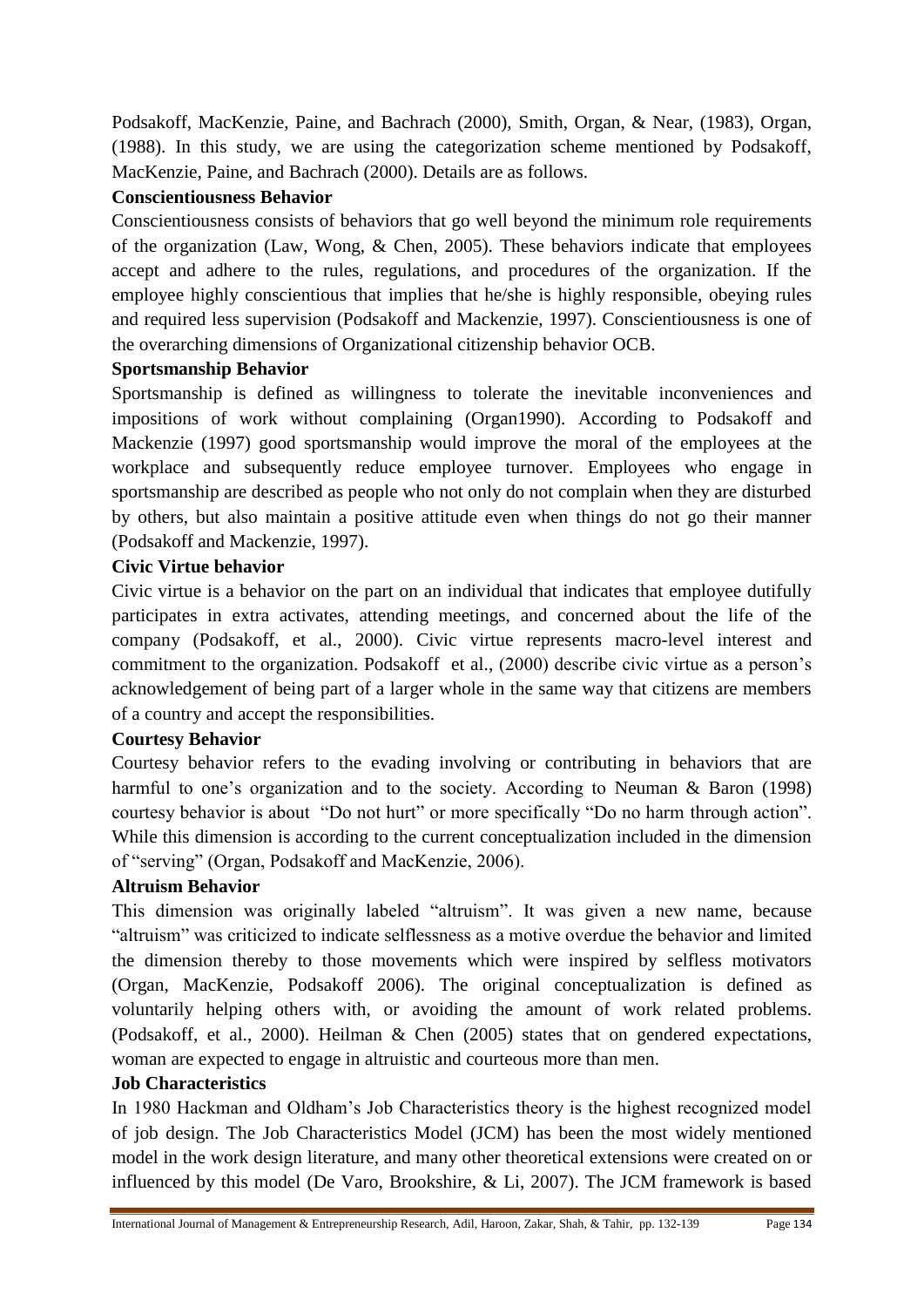Podsakoff, MacKenzie, Paine, and Bachrach (2000), Smith, Organ, & Near, (1983), Organ, (1988). In this study, we are using the categorization scheme mentioned by Podsakoff, MacKenzie, Paine, and Bachrach (2000). Details are as follows.

## **Conscientiousness Behavior**

Conscientiousness consists of behaviors that go well beyond the minimum role requirements of the organization (Law, Wong, & Chen, 2005). These behaviors indicate that employees accept and adhere to the rules, regulations, and procedures of the organization. If the employee highly conscientious that implies that he/she is highly responsible, obeying rules and required less supervision (Podsakoff and Mackenzie, 1997). Conscientiousness is one of the overarching dimensions of Organizational citizenship behavior OCB.

## **Sportsmanship Behavior**

Sportsmanship is defined as willingness to tolerate the inevitable inconveniences and impositions of work without complaining (Organ1990). According to Podsakoff and Mackenzie (1997) good sportsmanship would improve the moral of the employees at the workplace and subsequently reduce employee turnover. Employees who engage in sportsmanship are described as people who not only do not complain when they are disturbed by others, but also maintain a positive attitude even when things do not go their manner (Podsakoff and Mackenzie, 1997).

## **Civic Virtue behavior**

Civic virtue is a behavior on the part on an individual that indicates that employee dutifully participates in extra activates, attending meetings, and concerned about the life of the company (Podsakoff, et al., 2000). Civic virtue represents macro-level interest and commitment to the organization. Podsakoff et al., (2000) describe civic virtue as a person's acknowledgement of being part of a larger whole in the same way that citizens are members of a country and accept the responsibilities.

## **Courtesy Behavior**

Courtesy behavior refers to the evading involving or contributing in behaviors that are harmful to one's organization and to the society. According to Neuman & Baron (1998) courtesy behavior is about "Do not hurt" or more specifically "Do no harm through action". While this dimension is according to the current conceptualization included in the dimension of "serving" (Organ, Podsakoff and MacKenzie, 2006).

## **Altruism Behavior**

This dimension was originally labeled "altruism". It was given a new name, because "altruism" was criticized to indicate selflessness as a motive overdue the behavior and limited the dimension thereby to those movements which were inspired by selfless motivators (Organ, MacKenzie, Podsakoff 2006). The original conceptualization is defined as voluntarily helping others with, or avoiding the amount of work related problems. (Podsakoff, et al., 2000). Heilman & Chen (2005) states that on gendered expectations, woman are expected to engage in altruistic and courteous more than men.

## **Job Characteristics**

In 1980 Hackman and Oldham's Job Characteristics theory is the highest recognized model of job design. The Job Characteristics Model (JCM) has been the most widely mentioned model in the work design literature, and many other theoretical extensions were created on or influenced by this model (De Varo, Brookshire, & Li, 2007). The JCM framework is based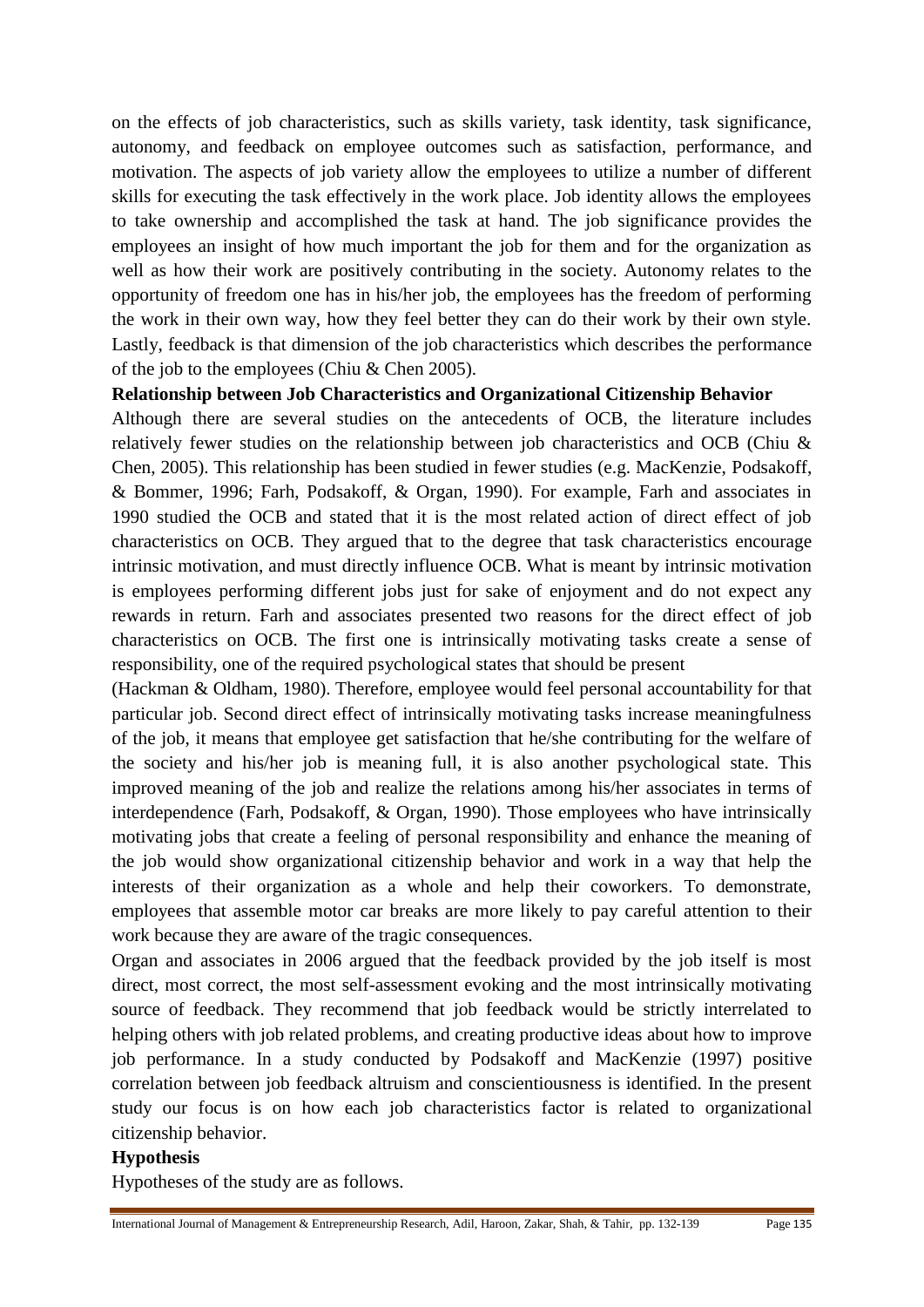on the effects of job characteristics, such as skills variety, task identity, task significance, autonomy, and feedback on employee outcomes such as satisfaction, performance, and motivation. The aspects of job variety allow the employees to utilize a number of different skills for executing the task effectively in the work place. Job identity allows the employees to take ownership and accomplished the task at hand. The job significance provides the employees an insight of how much important the job for them and for the organization as well as how their work are positively contributing in the society. Autonomy relates to the opportunity of freedom one has in his/her job, the employees has the freedom of performing the work in their own way, how they feel better they can do their work by their own style. Lastly, feedback is that dimension of the job characteristics which describes the performance of the job to the employees (Chiu & Chen 2005).

#### **Relationship between Job Characteristics and Organizational Citizenship Behavior**

Although there are several studies on the antecedents of OCB, the literature includes relatively fewer studies on the relationship between job characteristics and OCB (Chiu & Chen, 2005). This relationship has been studied in fewer studies (e.g. MacKenzie, Podsakoff, & Bommer, 1996; Farh, Podsakoff, & Organ, 1990). For example, Farh and associates in 1990 studied the OCB and stated that it is the most related action of direct effect of job characteristics on OCB. They argued that to the degree that task characteristics encourage intrinsic motivation, and must directly influence OCB. What is meant by intrinsic motivation is employees performing different jobs just for sake of enjoyment and do not expect any rewards in return. Farh and associates presented two reasons for the direct effect of job characteristics on OCB. The first one is intrinsically motivating tasks create a sense of responsibility, one of the required psychological states that should be present

(Hackman & Oldham, 1980). Therefore, employee would feel personal accountability for that particular job. Second direct effect of intrinsically motivating tasks increase meaningfulness of the job, it means that employee get satisfaction that he/she contributing for the welfare of the society and his/her job is meaning full, it is also another psychological state. This improved meaning of the job and realize the relations among his/her associates in terms of interdependence (Farh, Podsakoff, & Organ, 1990). Those employees who have intrinsically motivating jobs that create a feeling of personal responsibility and enhance the meaning of the job would show organizational citizenship behavior and work in a way that help the interests of their organization as a whole and help their coworkers. To demonstrate, employees that assemble motor car breaks are more likely to pay careful attention to their work because they are aware of the tragic consequences.

Organ and associates in 2006 argued that the feedback provided by the job itself is most direct, most correct, the most self-assessment evoking and the most intrinsically motivating source of feedback. They recommend that job feedback would be strictly interrelated to helping others with job related problems, and creating productive ideas about how to improve job performance. In a study conducted by Podsakoff and MacKenzie (1997) positive correlation between job feedback altruism and conscientiousness is identified. In the present study our focus is on how each job characteristics factor is related to organizational citizenship behavior.

#### **Hypothesis**

Hypotheses of the study are as follows.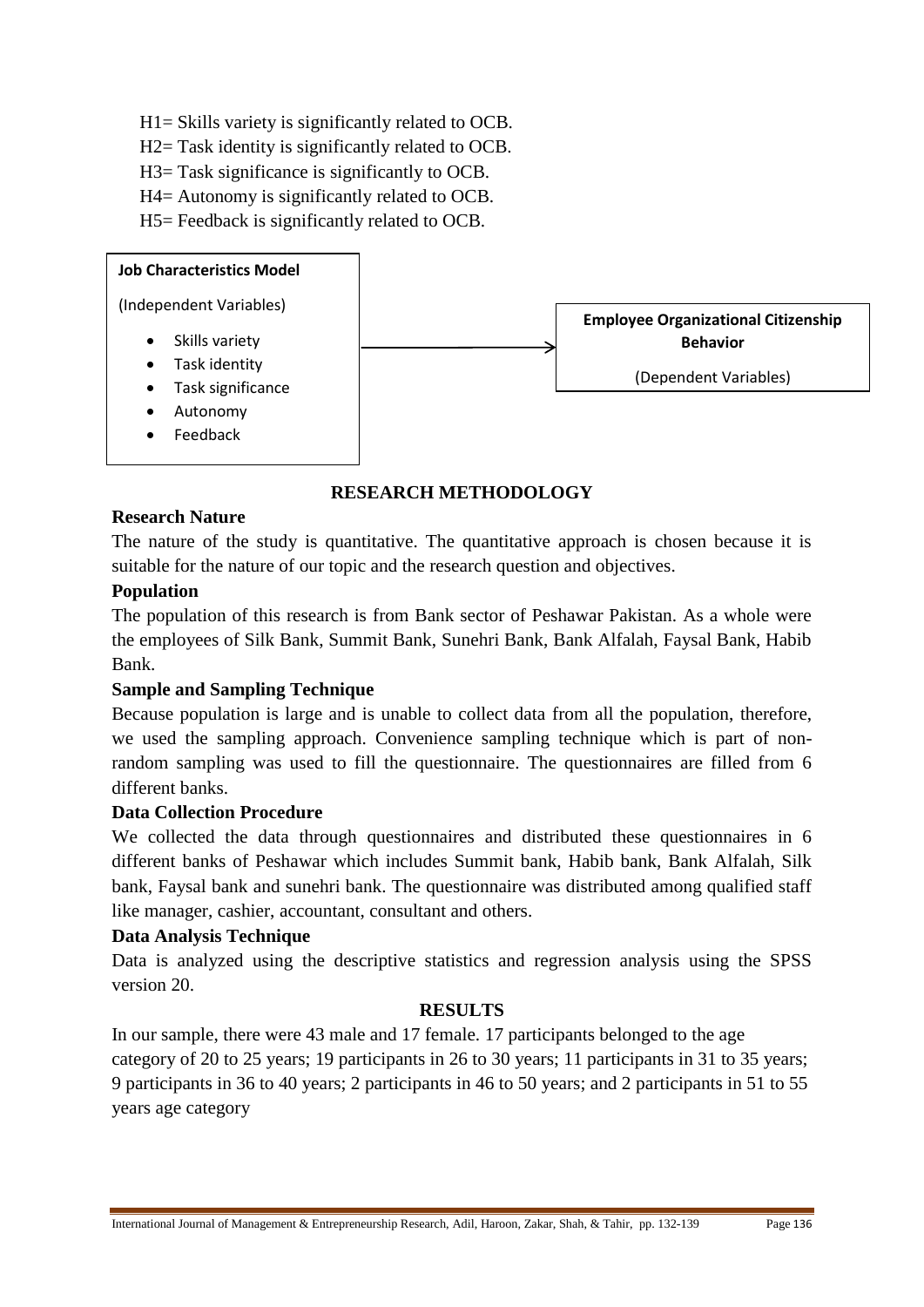- H1= Skills variety is significantly related to OCB.
- H2= Task identity is significantly related to OCB.
- H3= Task significance is significantly to OCB.
- H4= Autonomy is significantly related to OCB.

H5= Feedback is significantly related to OCB.



## **RESEARCH METHODOLOGY**

## **Research Nature**

The nature of the study is quantitative. The quantitative approach is chosen because it is suitable for the nature of our topic and the research question and objectives.

## **Population**

The population of this research is from Bank sector of Peshawar Pakistan. As a whole were the employees of Silk Bank, Summit Bank, Sunehri Bank, Bank Alfalah, Faysal Bank, Habib Bank.

## **Sample and Sampling Technique**

Because population is large and is unable to collect data from all the population, therefore, we used the sampling approach. Convenience sampling technique which is part of nonrandom sampling was used to fill the questionnaire. The questionnaires are filled from 6 different banks.

## **Data Collection Procedure**

We collected the data through questionnaires and distributed these questionnaires in 6 different banks of Peshawar which includes Summit bank, Habib bank, Bank Alfalah, Silk bank, Faysal bank and sunehri bank. The questionnaire was distributed among qualified staff like manager, cashier, accountant, consultant and others.

## **Data Analysis Technique**

Data is analyzed using the descriptive statistics and regression analysis using the SPSS version 20.

## **RESULTS**

In our sample, there were 43 male and 17 female. 17 participants belonged to the age category of 20 to 25 years; 19 participants in 26 to 30 years; 11 participants in 31 to 35 years; 9 participants in 36 to 40 years; 2 participants in 46 to 50 years; and 2 participants in 51 to 55 years age category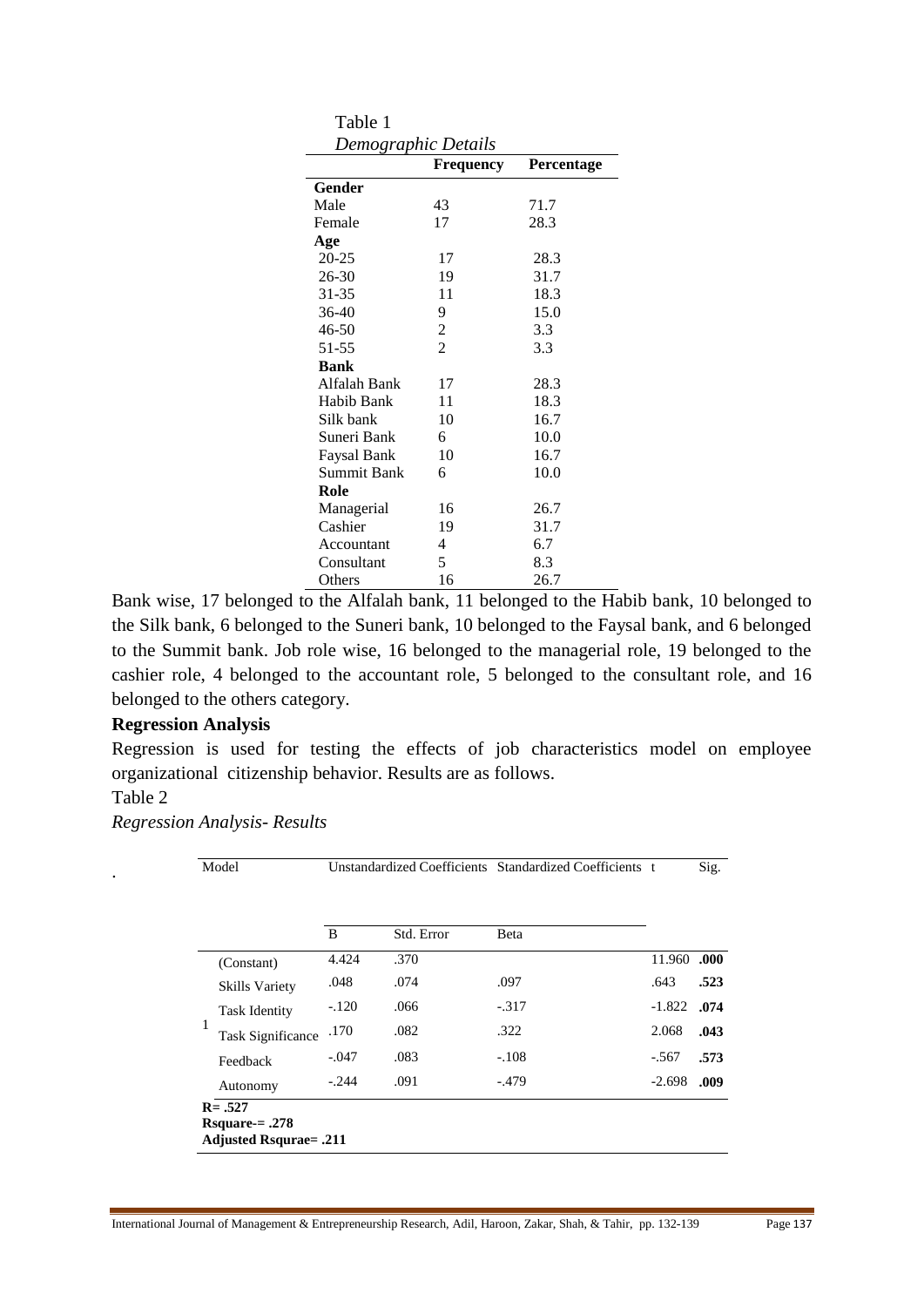| Table 1             |                |            |
|---------------------|----------------|------------|
| Demographic Details |                |            |
|                     | Frequency      | Percentage |
| Gender              |                |            |
| Male                | 43             | 71.7       |
| Female              | 17             | 28.3       |
| Age                 |                |            |
| $20 - 25$           | 17             | 28.3       |
| 26-30               | 19             | 31.7       |
| 31-35               | 11             | 18.3       |
| 36-40               | 9              | 15.0       |
| 46-50               | $\overline{c}$ | 3.3        |
| 51-55               | $\overline{2}$ | 3.3        |
| <b>Bank</b>         |                |            |
| Alfalah Bank        | 17             | 28.3       |
| Habib Bank          | 11             | 18.3       |
| Silk bank           | 10             | 16.7       |
| Suneri Bank         | 6              | 10.0       |
| Faysal Bank         | 10             | 16.7       |
| Summit Bank         | 6              | 10.0       |
| Role                |                |            |
| Managerial          | 16             | 26.7       |
| Cashier             | 19             | 31.7       |
| Accountant          | 4              | 6.7        |
| Consultant          | 5              | 8.3        |
| Others              | 16             | 26.7       |

 $T<sub>1</sub>$ 

Bank wise, 17 belonged to the Alfalah bank, 11 belonged to the Habib bank, 10 belonged to the Silk bank, 6 belonged to the Suneri bank, 10 belonged to the Faysal bank, and 6 belonged to the Summit bank. Job role wise, 16 belonged to the managerial role, 19 belonged to the cashier role, 4 belonged to the accountant role, 5 belonged to the consultant role, and 16 belonged to the others category.

#### **Regression Analysis**

Regression is used for testing the effects of job characteristics model on employee organizational citizenship behavior. Results are as follows.

## Table 2

*Regression Analysis- Results*

|                               | B       | Std. Error | Beta    |               |
|-------------------------------|---------|------------|---------|---------------|
| (Constant)                    | 4.424   | .370       |         | 11.960        |
| <b>Skills Variety</b>         | .048    | .074       | .097    | .643          |
| <b>Task Identity</b>          | $-.120$ | .066       | $-317$  | $-1.822$ .074 |
| 1<br><b>Task Significance</b> | .170    | .082       | .322    | 2.068         |
| Feedback                      | $-.047$ | .083       | $-.108$ | $-.567$       |
| Autonomy                      | $-.244$ | .091       | $-.479$ | $-2.698$      |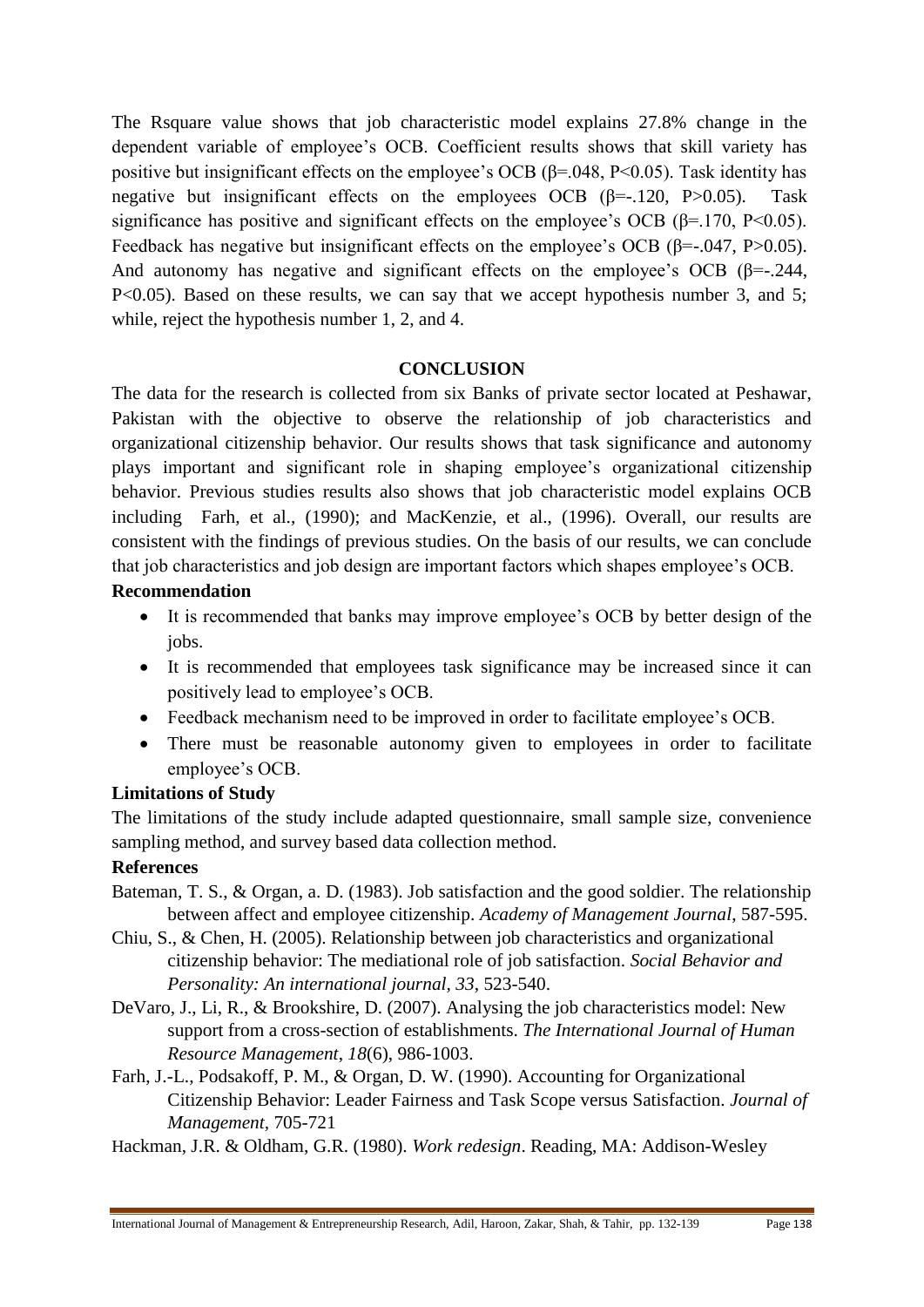The Rsquare value shows that job characteristic model explains 27.8% change in the dependent variable of employee's OCB. Coefficient results shows that skill variety has positive but insignificant effects on the employee's OCB ( $\beta$ =.048, P<0.05). Task identity has negative but insignificant effects on the employees OCB  $(\beta = -120, P > 0.05)$ . Task significance has positive and significant effects on the employee's OCB ( $\beta$ =.170, P<0.05). Feedback has negative but insignificant effects on the employee's OCB ( $\beta$ =-.047, P>0.05). And autonomy has negative and significant effects on the employee's OCB ( $\beta$ =-.244, P<0.05). Based on these results, we can say that we accept hypothesis number 3, and 5; while, reject the hypothesis number 1, 2, and 4.

#### **CONCLUSION**

The data for the research is collected from six Banks of private sector located at Peshawar, Pakistan with the objective to observe the relationship of job characteristics and organizational citizenship behavior. Our results shows that task significance and autonomy plays important and significant role in shaping employee's organizational citizenship behavior. Previous studies results also shows that job characteristic model explains OCB including Farh, et al., (1990); and MacKenzie, et al., (1996). Overall, our results are consistent with the findings of previous studies. On the basis of our results, we can conclude that job characteristics and job design are important factors which shapes employee's OCB.

#### **Recommendation**

- It is recommended that banks may improve employee's OCB by better design of the jobs.
- It is recommended that employees task significance may be increased since it can positively lead to employee's OCB.
- Feedback mechanism need to be improved in order to facilitate employee's OCB.
- There must be reasonable autonomy given to employees in order to facilitate employee's OCB.

## **Limitations of Study**

The limitations of the study include adapted questionnaire, small sample size, convenience sampling method, and survey based data collection method.

## **References**

- Bateman, T. S., & Organ, a. D. (1983). Job satisfaction and the good soldier. The relationship between affect and employee citizenship. *Academy of Management Journal*, 587-595.
- Chiu, S., & Chen, H. (2005). Relationship between job characteristics and organizational citizenship behavior: The mediational role of job satisfaction. *Social Behavior and Personality: An international journal, 33*, 523-540.
- DeVaro, J., Li, R., & Brookshire, D. (2007). Analysing the job characteristics model: New support from a cross-section of establishments. *The International Journal of Human Resource Management*, *18*(6), 986-1003.
- Farh, J.-L., Podsakoff, P. M., & Organ, D. W. (1990). Accounting for Organizational Citizenship Behavior: Leader Fairness and Task Scope versus Satisfaction*. Journal of Management,* 705-721
- Hackman, J.R. & Oldham, G.R. (1980). *Work redesign*. Reading, MA: Addison-Wesley